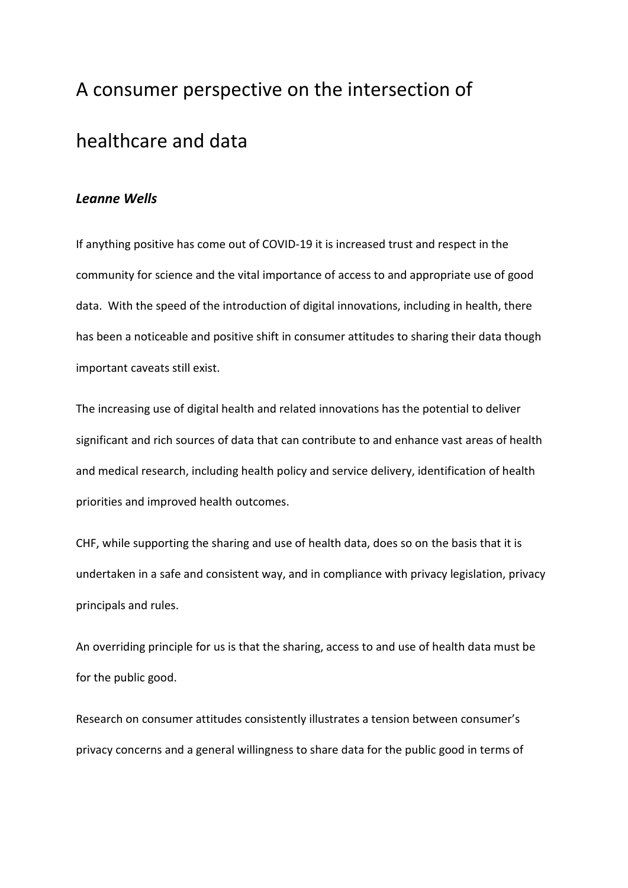## A consumer perspective on the intersection of healthcare and data

## *Leanne Wells*

If anything positive has come out of COVID-19 it is increased trust and respect in the community for science and the vital importance of access to and appropriate use of good data. With the speed of the introduction of digital innovations, including in health, there has been a noticeable and positive shift in consumer attitudes to sharing their data though important caveats still exist.

The increasing use of digital health and related innovations has the potential to deliver significant and rich sources of data that can contribute to and enhance vast areas of health and medical research, including health policy and service delivery, identification of health priorities and improved health outcomes.

CHF, while supporting the sharing and use of health data, does so on the basis that it is undertaken in a safe and consistent way, and in compliance with privacy legislation, privacy principals and rules.

An overriding principle for us is that the sharing, access to and use of health data must be for the public good.

Research on consumer attitudes consistently illustrates a tension between consumer's privacy concerns and a general willingness to share data for the public good in terms of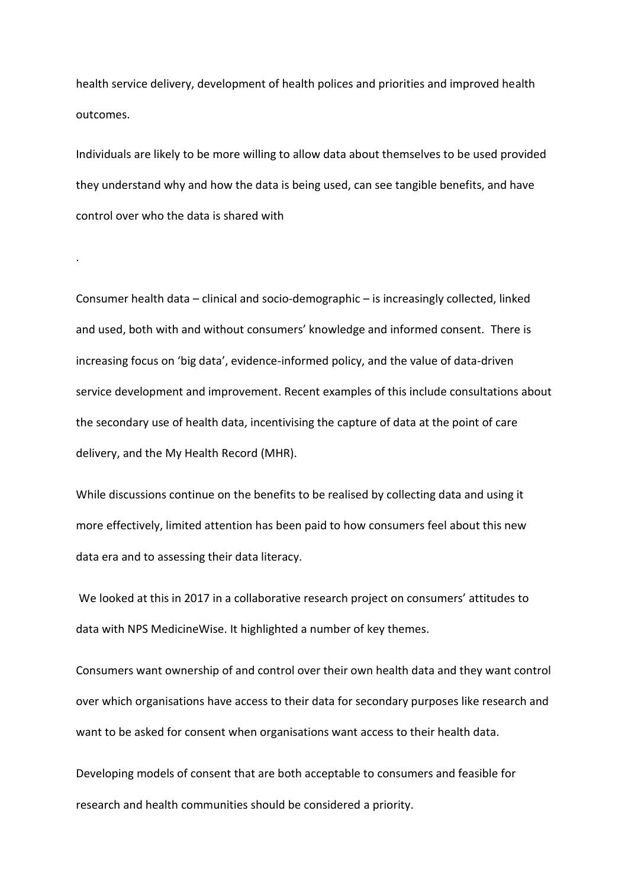health service delivery, development of health polices and priorities and improved health outcomes.

Individuals are likely to be more willing to allow data about themselves to be used provided they understand why and how the data is being used, can see tangible benefits, and have control over who the data is shared with

.

Consumer health data – clinical and socio-demographic – is increasingly collected, linked and used, both with and without consumers' knowledge and informed consent. There is increasing focus on 'big data', evidence-informed policy, and the value of data-driven service development and improvement. Recent examples of this include consultations about the secondary use of health data, incentivising the capture of data at the point of care delivery, and the My Health Record (MHR).

While discussions continue on the benefits to be realised by collecting data and using it more effectively, limited attention has been paid to how consumers feel about this new data era and to assessing their data literacy.

We looked at this in 2017 in a collaborative research project on consumers' attitudes to data with NPS MedicineWise. It highlighted a number of key themes.

Consumers want ownership of and control over their own health data and they want control over which organisations have access to their data for secondary purposes like research and want to be asked for consent when organisations want access to their health data.

Developing models of consent that are both acceptable to consumers and feasible for research and health communities should be considered a priority.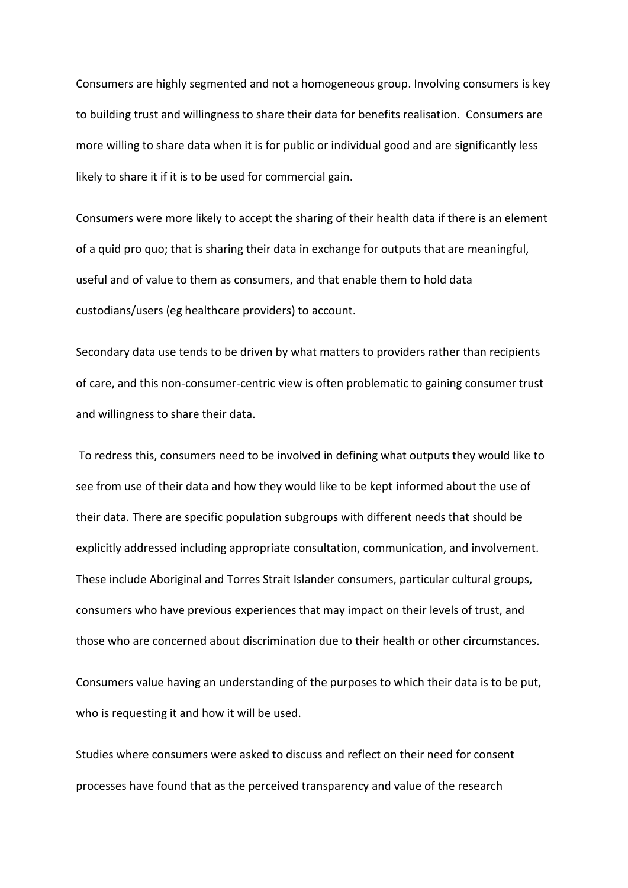Consumers are highly segmented and not a homogeneous group. Involving consumers is key to building trust and willingness to share their data for benefits realisation. Consumers are more willing to share data when it is for public or individual good and are significantly less likely to share it if it is to be used for commercial gain.

Consumers were more likely to accept the sharing of their health data if there is an element of a quid pro quo; that is sharing their data in exchange for outputs that are meaningful, useful and of value to them as consumers, and that enable them to hold data custodians/users (eg healthcare providers) to account.

Secondary data use tends to be driven by what matters to providers rather than recipients of care, and this non-consumer-centric view is often problematic to gaining consumer trust and willingness to share their data.

To redress this, consumers need to be involved in defining what outputs they would like to see from use of their data and how they would like to be kept informed about the use of their data. There are specific population subgroups with different needs that should be explicitly addressed including appropriate consultation, communication, and involvement. These include Aboriginal and Torres Strait Islander consumers, particular cultural groups, consumers who have previous experiences that may impact on their levels of trust, and those who are concerned about discrimination due to their health or other circumstances. Consumers value having an understanding of the purposes to which their data is to be put, who is requesting it and how it will be used.

Studies where consumers were asked to discuss and reflect on their need for consent processes have found that as the perceived transparency and value of the research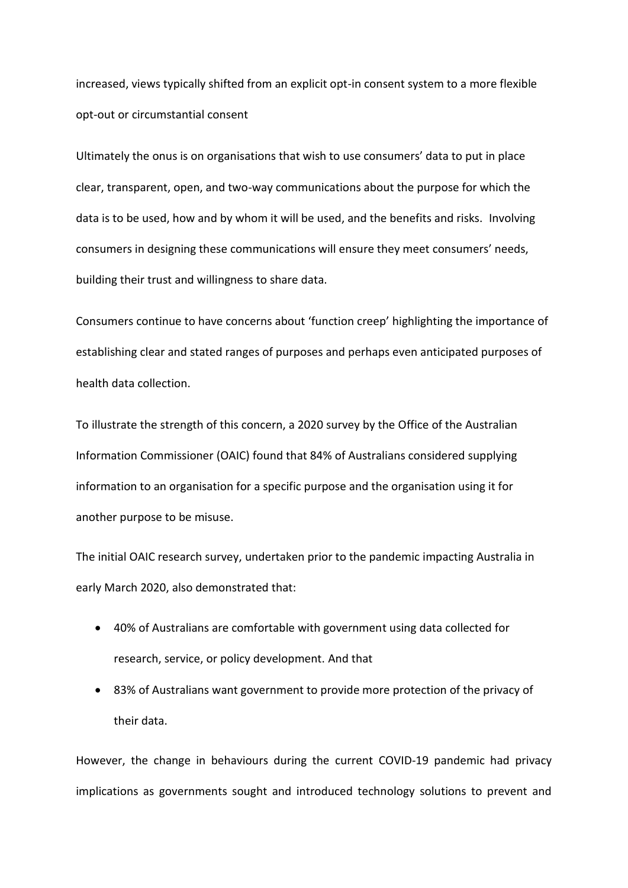increased, views typically shifted from an explicit opt-in consent system to a more flexible opt-out or circumstantial consent

Ultimately the onus is on organisations that wish to use consumers' data to put in place clear, transparent, open, and two-way communications about the purpose for which the data is to be used, how and by whom it will be used, and the benefits and risks. Involving consumers in designing these communications will ensure they meet consumers' needs, building their trust and willingness to share data.

Consumers continue to have concerns about 'function creep' highlighting the importance of establishing clear and stated ranges of purposes and perhaps even anticipated purposes of health data collection.

To illustrate the strength of this concern, a 2020 survey by the Office of the Australian Information Commissioner (OAIC) found that 84% of Australians considered supplying information to an organisation for a specific purpose and the organisation using it for another purpose to be misuse.

The initial OAIC research survey, undertaken prior to the pandemic impacting Australia in early March 2020, also demonstrated that:

- 40% of Australians are comfortable with government using data collected for research, service, or policy development. And that
- 83% of Australians want government to provide more protection of the privacy of their data.

However, the change in behaviours during the current COVID-19 pandemic had privacy implications as governments sought and introduced technology solutions to prevent and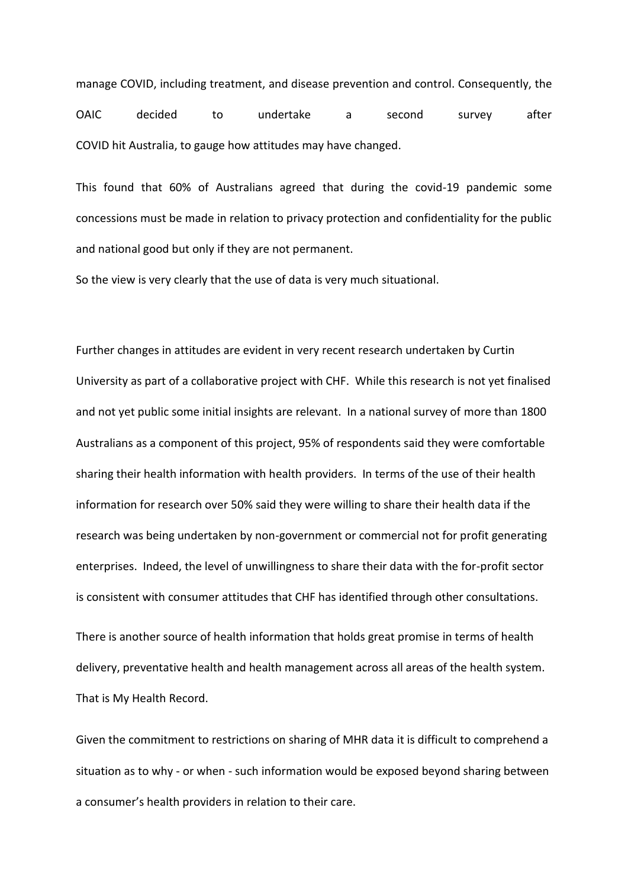manage COVID, including treatment, and disease prevention and control. Consequently, the OAIC decided to undertake a second survey after COVID hit Australia, to gauge how attitudes may have changed.

This found that 60% of Australians agreed that during the covid-19 pandemic some concessions must be made in relation to privacy protection and confidentiality for the public and national good but only if they are not permanent.

So the view is very clearly that the use of data is very much situational.

Further changes in attitudes are evident in very recent research undertaken by Curtin University as part of a collaborative project with CHF. While this research is not yet finalised and not yet public some initial insights are relevant. In a national survey of more than 1800 Australians as a component of this project, 95% of respondents said they were comfortable sharing their health information with health providers. In terms of the use of their health information for research over 50% said they were willing to share their health data if the research was being undertaken by non-government or commercial not for profit generating enterprises. Indeed, the level of unwillingness to share their data with the for-profit sector is consistent with consumer attitudes that CHF has identified through other consultations.

There is another source of health information that holds great promise in terms of health delivery, preventative health and health management across all areas of the health system. That is My Health Record.

Given the commitment to restrictions on sharing of MHR data it is difficult to comprehend a situation as to why - or when - such information would be exposed beyond sharing between a consumer's health providers in relation to their care.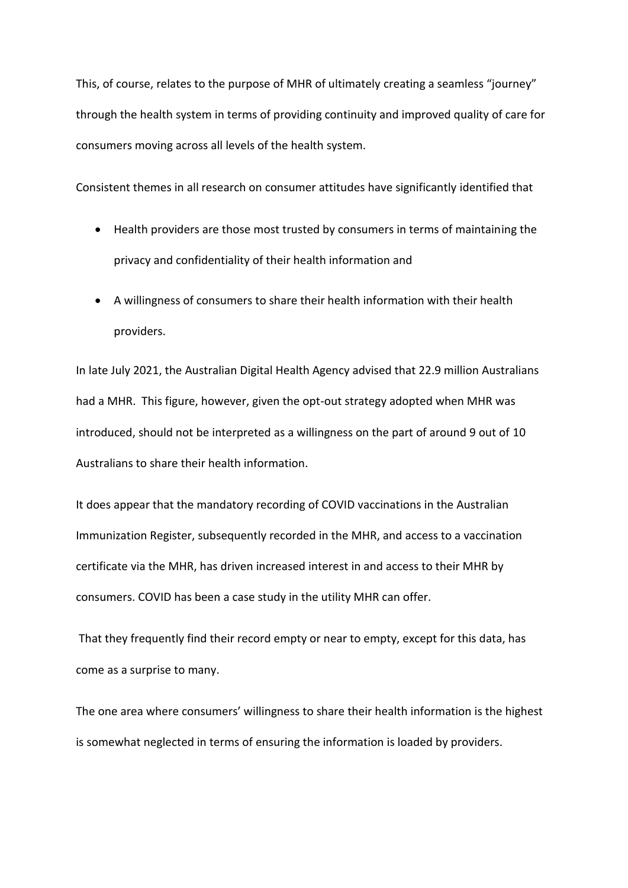This, of course, relates to the purpose of MHR of ultimately creating a seamless "journey" through the health system in terms of providing continuity and improved quality of care for consumers moving across all levels of the health system.

Consistent themes in all research on consumer attitudes have significantly identified that

- Health providers are those most trusted by consumers in terms of maintaining the privacy and confidentiality of their health information and
- A willingness of consumers to share their health information with their health providers.

In late July 2021, the Australian Digital Health Agency advised that 22.9 million Australians had a MHR. This figure, however, given the opt-out strategy adopted when MHR was introduced, should not be interpreted as a willingness on the part of around 9 out of 10 Australians to share their health information.

It does appear that the mandatory recording of COVID vaccinations in the Australian Immunization Register, subsequently recorded in the MHR, and access to a vaccination certificate via the MHR, has driven increased interest in and access to their MHR by consumers. COVID has been a case study in the utility MHR can offer.

That they frequently find their record empty or near to empty, except for this data, has come as a surprise to many.

The one area where consumers' willingness to share their health information is the highest is somewhat neglected in terms of ensuring the information is loaded by providers.